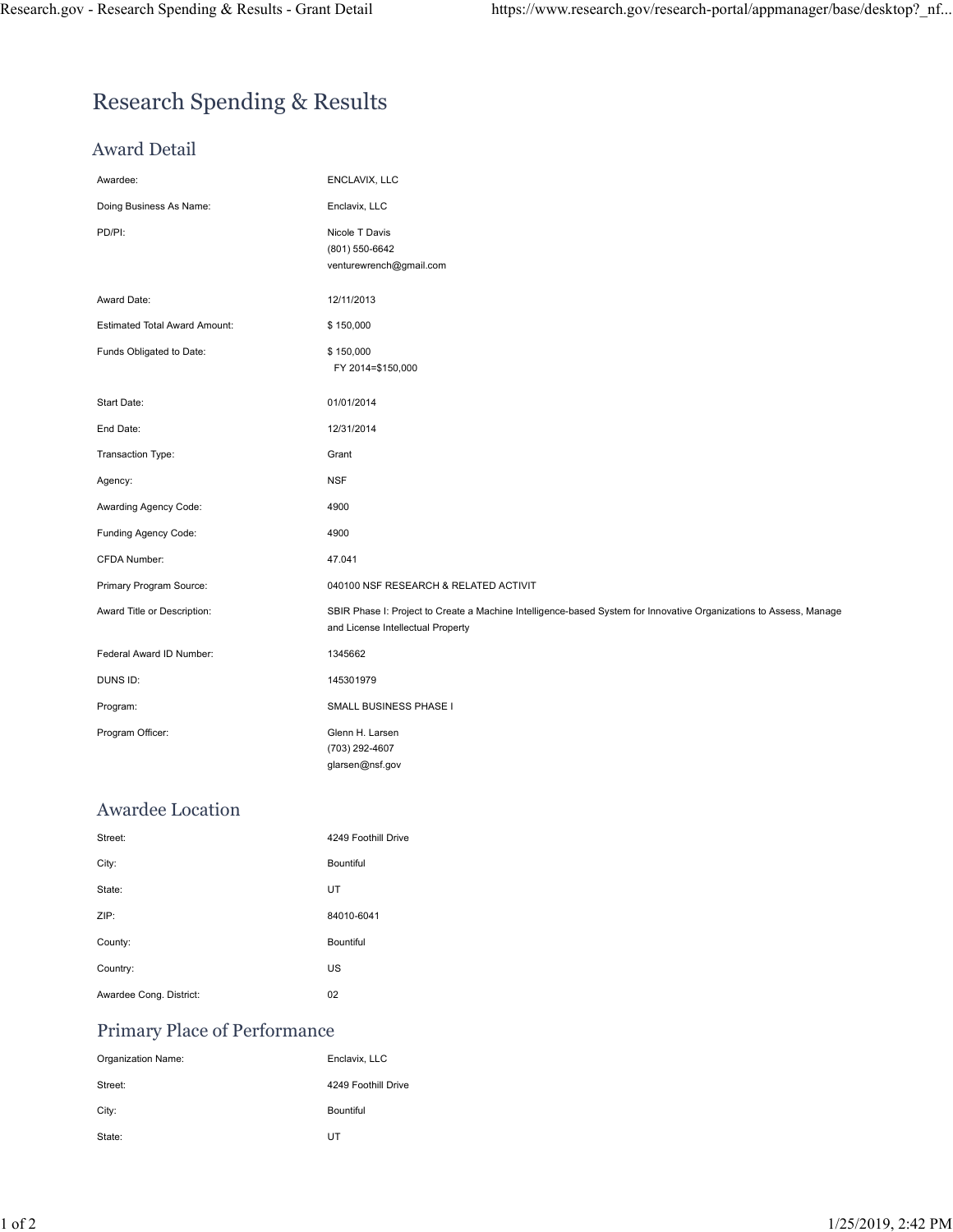# Research Spending & Results

### Award Detail

| Research Spending & Results - Grant Detail | https://www.research.gov/research-portal/appmanager/base/desktop?_nf                                                                                    |
|--------------------------------------------|---------------------------------------------------------------------------------------------------------------------------------------------------------|
|                                            |                                                                                                                                                         |
|                                            |                                                                                                                                                         |
| <b>Research Spending &amp; Results</b>     |                                                                                                                                                         |
| <b>Award Detail</b>                        |                                                                                                                                                         |
| Awardee:                                   | ENCLAVIX, LLC                                                                                                                                           |
| Doing Business As Name:                    | Enclavix, LLC                                                                                                                                           |
| PD/PI:                                     | Nicole T Davis<br>(801) 550-6642<br>venturewrench@gmail.com                                                                                             |
| Award Date:                                | 12/11/2013                                                                                                                                              |
| <b>Estimated Total Award Amount:</b>       | \$150,000                                                                                                                                               |
| Funds Obligated to Date:                   | \$150,000<br>FY 2014=\$150,000                                                                                                                          |
| Start Date:                                | 01/01/2014                                                                                                                                              |
| End Date:                                  | 12/31/2014                                                                                                                                              |
| Transaction Type:                          | Grant                                                                                                                                                   |
| Agency:                                    | <b>NSF</b>                                                                                                                                              |
| Awarding Agency Code:                      | 4900                                                                                                                                                    |
| Funding Agency Code:                       | 4900                                                                                                                                                    |
| CFDA Number:                               | 47.041                                                                                                                                                  |
| Primary Program Source:                    | 040100 NSF RESEARCH & RELATED ACTIVIT                                                                                                                   |
| Award Title or Description:                | SBIR Phase I: Project to Create a Machine Intelligence-based System for Innovative Organizations to Assess, Manage<br>and License Intellectual Property |
| Federal Award ID Number:                   | 1345662                                                                                                                                                 |
| DUNS ID:                                   | 145301979                                                                                                                                               |
| Program:                                   | SMALL BUSINESS PHASE I                                                                                                                                  |
| Program Officer:                           | Glenn H. Larsen<br>(703) 292-4607<br>glarsen@nsf.gov                                                                                                    |
| Awardee Location                           |                                                                                                                                                         |
| Street:                                    | 4249 Foothill Drive                                                                                                                                     |
| City:                                      | Bountiful                                                                                                                                               |
| State:                                     | UT                                                                                                                                                      |
| ZIP:                                       | 84010-6041                                                                                                                                              |
| County:                                    | Bountiful                                                                                                                                               |
| Country:                                   | US                                                                                                                                                      |
| Awardee Cong. District:                    | 02                                                                                                                                                      |
| Primary Place of Performance               |                                                                                                                                                         |
| Organization Name:                         | Enclavix, LLC                                                                                                                                           |
| Street:                                    | 4249 Foothill Drive                                                                                                                                     |
| City:                                      | Bountiful                                                                                                                                               |
| State:                                     | UT                                                                                                                                                      |
|                                            |                                                                                                                                                         |

### Awardee Location

| Program:                     | SMALL BUSINESS PHASE I                               |              |
|------------------------------|------------------------------------------------------|--------------|
| Program Officer:             | Glenn H. Larsen<br>(703) 292-4607<br>glarsen@nsf.gov |              |
| <b>Awardee Location</b>      |                                                      |              |
| Street:                      | 4249 Foothill Drive                                  |              |
| City:                        | Bountiful                                            |              |
| State:                       | UT                                                   |              |
| ZIP:                         | 84010-6041                                           |              |
| County:                      | Bountiful                                            |              |
| Country:                     | US                                                   |              |
| Awardee Cong. District:      | 02                                                   |              |
| Primary Place of Performance |                                                      |              |
| Organization Name:           | Enclavix, LLC                                        |              |
| Street:                      | 4249 Foothill Drive                                  |              |
| City:                        | Bountiful                                            |              |
| State:                       | UT                                                   |              |
|                              |                                                      |              |
|                              |                                                      |              |
|                              |                                                      | $\mathbf{1}$ |
|                              |                                                      |              |

### Primary Place of Performance

| Organization Name: | Enclavix, LLC       |
|--------------------|---------------------|
| Street:            | 4249 Foothill Drive |
| City:              | <b>Bountiful</b>    |
| State:             | UT                  |